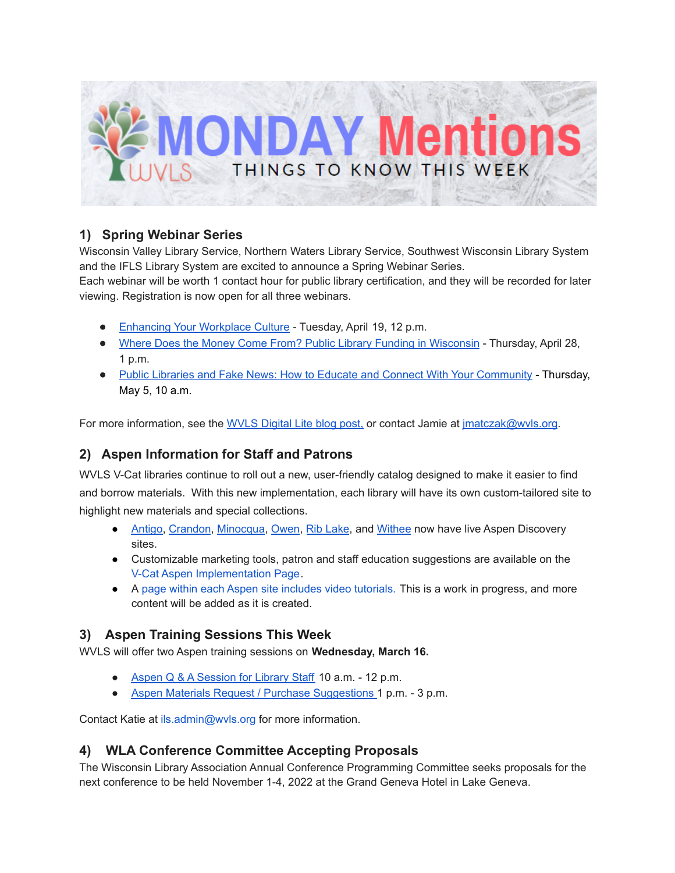

# **1) Spring Webinar Series**

Wisconsin Valley Library Service, Northern Waters Library Service, Southwest Wisconsin Library System and the IFLS Library System are excited to announce a Spring Webinar Series.

Each webinar will be worth 1 contact hour for public library certification, and they will be recorded for later viewing. Registration is now open for all three webinars.

- [Enhancing](https://us02web.zoom.us/webinar/register/WN_0WSQTsIISKuFc1bXUqNACQ) Your Workplace Culture Tuesday, April 19, 12 p.m.
- Where Does the Money Come From? Public Library Funding in [Wisconsin](https://us02web.zoom.us/webinar/register/WN_YjX48P-3RqCqDQF-rKGaPw) Thursday, April 28, 1 p.m.
- Public Libraries and Fake News: How to Educate and Connect With Your [Community](https://us02web.zoom.us/webinar/register/WN_WZpSJgK5R3WD9PHHVojdtQ) Thursday, May 5, 10 a.m.

For more information, see the [WVLS](https://wvls.org/25500-2/) Digital Lite blog post, or contact Jamie at [jmatczak@wvls.org](mailto:jmatczak@wvls.org).

# **2) Aspen Information for Staff and Patrons**

WVLS V-Cat libraries continue to roll out a new, user-friendly catalog designed to make it easier to find and borrow materials. With this new implementation, each library will have its own custom-tailored site to highlight new materials and special collections.

- [Antigo,](http://antigopl.catalog.wvls.org/) [Crandon](http://crandon.catalog.wvls.org/), [Minocqua](http://minocqua.catalog.wvls.org/), [Owen](http://owen.catalog.wvls.org/), Rib [Lake](http://riblake.catalog.wvls.org/), and [Withee](http://withee.catalog.wvls.org/) now have live Aspen Discovery sites.
- Customizable marketing tools, patron and staff education suggestions are available on th[e](https://www.wvls.org/v-cat-aspen-implementation/) V-Cat Aspen [Implementation](https://www.wvls.org/v-cat-aspen-implementation/) Page.
- A page within each Aspen site includes video [tutorials.](https://wvls.aspendiscovery.org/Introducing-Aspen) This is a work in progress, and more content will be added as it is created.

# **3) Aspen Training Sessions This Week**

WVLS will offer two Aspen training sessions on **Wednesday, March 16.**

- Aspen Q & A [Session](https://meet.goto.com/119634781) for Library Staff 10 a.m. 12 p.m.
- Aspen Materials Request / Purchase [Suggestions](https://meet.goto.com/282384621) 1 p.m. 3 p.m.

Contact Katie at ils.admin@wvls.org for more information.

# **4) WLA Conference Committee Accepting Proposals**

The Wisconsin Library Association Annual Conference Programming Committee seeks proposals for the next conference to be held November 1-4, 2022 at the Grand Geneva Hotel in Lake Geneva.